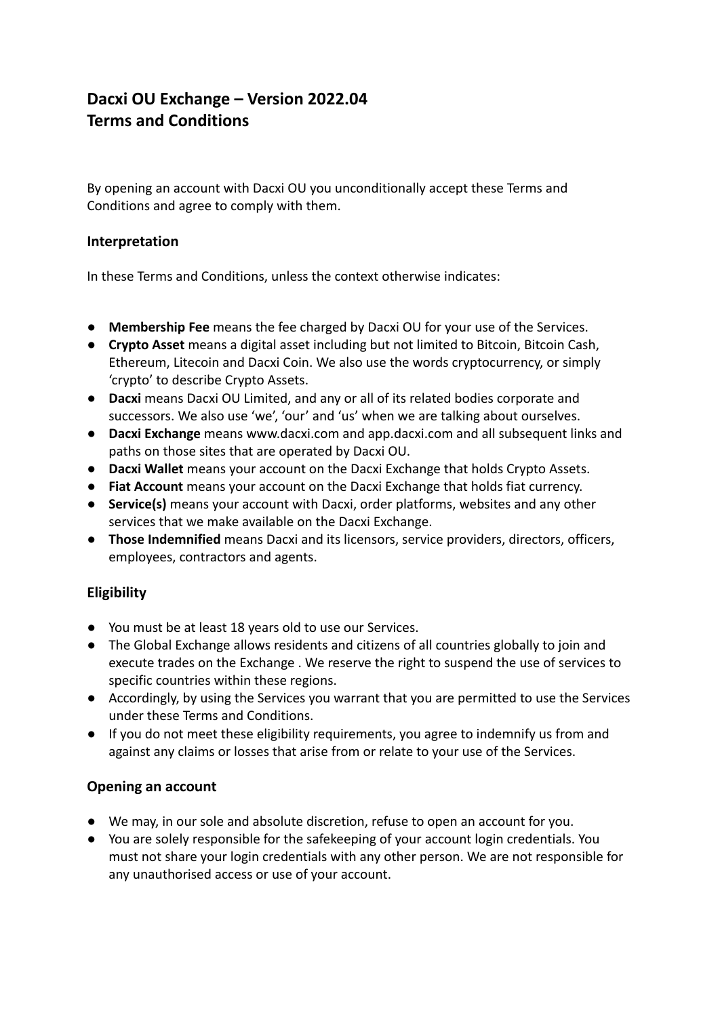# **Dacxi OU Exchange – Version 2022.04 Terms and Conditions**

By opening an account with Dacxi OU you unconditionally accept these Terms and Conditions and agree to comply with them.

## **Interpretation**

In these Terms and Conditions, unless the context otherwise indicates:

- **● Membership Fee** means the fee charged by Dacxi OU for your use of the Services.
- **Crypto Asset** means a digital asset including but not limited to Bitcoin, Bitcoin Cash, Ethereum, Litecoin and Dacxi Coin. We also use the words cryptocurrency, or simply 'crypto' to describe Crypto Assets.
- **● Dacxi** means Dacxi OU Limited, and any or all of its related bodies corporate and successors. We also use 'we', 'our' and 'us' when we are talking about ourselves.
- **Dacxi Exchange** means www.dacxi.com and app.dacxi.com and all subsequent links and paths on those sites that are operated by Dacxi OU.
- **Dacxi Wallet** means your account on the Dacxi Exchange that holds Crypto Assets.
- **● Fiat Account** means your account on the Dacxi Exchange that holds fiat currency.
- **Service(s)** means your account with Dacxi, order platforms, websites and any other services that we make available on the Dacxi Exchange.
- **Those Indemnified** means Dacxi and its licensors, service providers, directors, officers, employees, contractors and agents.

## **Eligibility**

- You must be at least 18 years old to use our Services.
- The Global Exchange allows residents and citizens of all countries globally to join and execute trades on the Exchange . We reserve the right to suspend the use of services to specific countries within these regions.
- Accordingly, by using the Services you warrant that you are permitted to use the Services under these Terms and Conditions.
- If you do not meet these eligibility requirements, you agree to indemnify us from and against any claims or losses that arise from or relate to your use of the Services.

## **Opening an account**

- We may, in our sole and absolute discretion, refuse to open an account for you.
- You are solely responsible for the safekeeping of your account login credentials. You must not share your login credentials with any other person. We are not responsible for any unauthorised access or use of your account.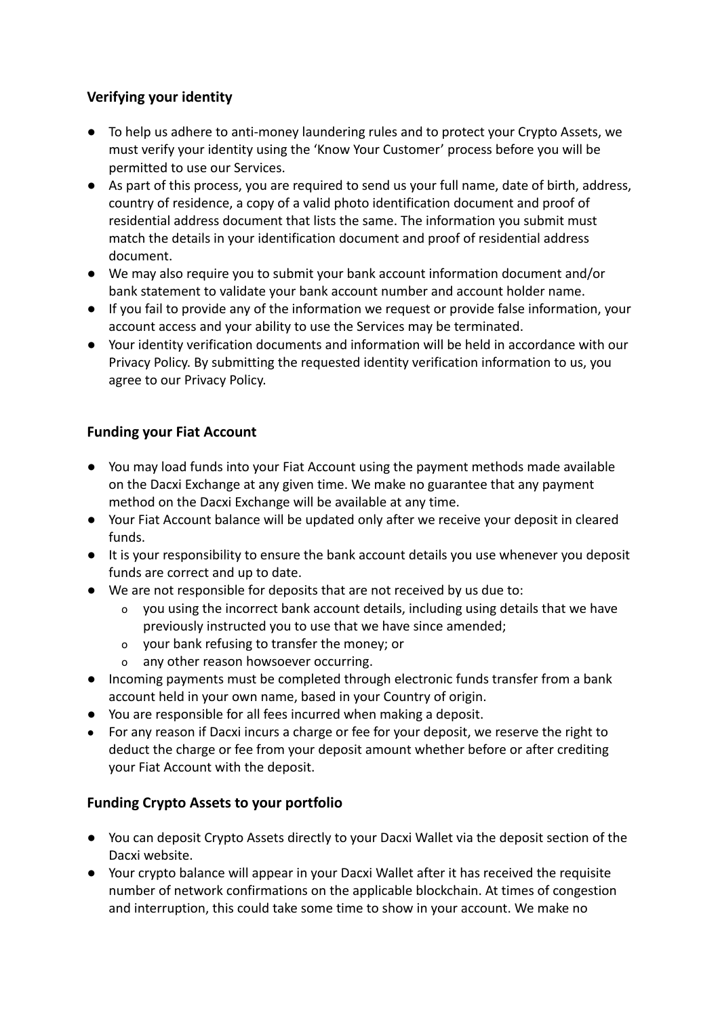# **Verifying your identity**

- To help us adhere to anti-money laundering rules and to protect your Crypto Assets, we must verify your identity using the 'Know Your Customer' process before you will be permitted to use our Services.
- As part of this process, you are required to send us your full name, date of birth, address, country of residence, a copy of a valid photo identification document and proof of residential address document that lists the same. The information you submit must match the details in your identification document and proof of residential address document.
- We may also require you to submit your bank account information document and/or bank statement to validate your bank account number and account holder name.
- If you fail to provide any of the information we request or provide false information, your account access and your ability to use the Services may be terminated.
- Your identity verification documents and information will be held in accordance with our Privacy Policy. By submitting the requested identity verification information to us, you agree to our Privacy Policy.

# **Funding your Fiat Account**

- You may load funds into your Fiat Account using the payment methods made available on the Dacxi Exchange at any given time. We make no guarantee that any payment method on the Dacxi Exchange will be available at any time.
- Your Fiat Account balance will be updated only after we receive your deposit in cleared funds.
- It is your responsibility to ensure the bank account details you use whenever you deposit funds are correct and up to date.
- We are not responsible for deposits that are not received by us due to:
	- o you using the incorrect bank account details, including using details that we have previously instructed you to use that we have since amended;
	- o your bank refusing to transfer the money; or
	- o any other reason howsoever occurring.
- Incoming payments must be completed through electronic funds transfer from a bank account held in your own name, based in your Country of origin.
- You are responsible for all fees incurred when making a deposit.
- For any reason if Dacxi incurs a charge or fee for your deposit, we reserve the right to deduct the charge or fee from your deposit amount whether before or after crediting your Fiat Account with the deposit.

## **Funding Crypto Assets to your portfolio**

- You can deposit Crypto Assets directly to your Dacxi Wallet via the deposit section of the Dacxi website.
- Your crypto balance will appear in your Dacxi Wallet after it has received the requisite number of network confirmations on the applicable blockchain. At times of congestion and interruption, this could take some time to show in your account. We make no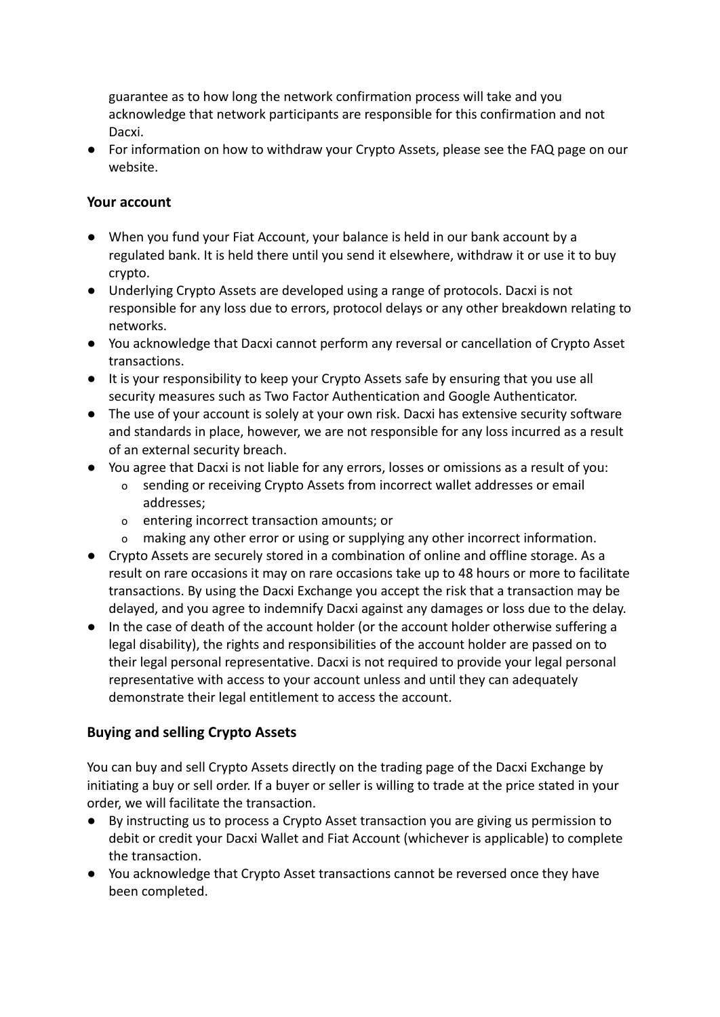guarantee as to how long the network confirmation process will take and you acknowledge that network participants are responsible for this confirmation and not Dacxi.

● For information on how to withdraw your Crypto Assets, please see the FAQ page on our website.

## **Your account**

- When you fund your Fiat Account, your balance is held in our bank account by a regulated bank. It is held there until you send it elsewhere, withdraw it or use it to buy crypto.
- Underlying Crypto Assets are developed using a range of protocols. Dacxi is not responsible for any loss due to errors, protocol delays or any other breakdown relating to networks.
- You acknowledge that Dacxi cannot perform any reversal or cancellation of Crypto Asset transactions.
- It is your responsibility to keep your Crypto Assets safe by ensuring that you use all security measures such as Two Factor Authentication and Google Authenticator.
- The use of your account is solely at your own risk. Dacxi has extensive security software and standards in place, however, we are not responsible for any loss incurred as a result of an external security breach.
- You agree that Dacxi is not liable for any errors, losses or omissions as a result of you:
	- o sending or receiving Crypto Assets from incorrect wallet addresses or email addresses;
	- o entering incorrect transaction amounts; or
	- o making any other error or using or supplying any other incorrect information.
- Crypto Assets are securely stored in a combination of online and offline storage. As a result on rare occasions it may on rare occasions take up to 48 hours or more to facilitate transactions. By using the Dacxi Exchange you accept the risk that a transaction may be delayed, and you agree to indemnify Dacxi against any damages or loss due to the delay.
- In the case of death of the account holder (or the account holder otherwise suffering a legal disability), the rights and responsibilities of the account holder are passed on to their legal personal representative. Dacxi is not required to provide your legal personal representative with access to your account unless and until they can adequately demonstrate their legal entitlement to access the account.

## **Buying and selling Crypto Assets**

You can buy and sell Crypto Assets directly on the trading page of the Dacxi Exchange by initiating a buy or sell order. If a buyer or seller is willing to trade at the price stated in your order, we will facilitate the transaction.

- By instructing us to process a Crypto Asset transaction you are giving us permission to debit or credit your Dacxi Wallet and Fiat Account (whichever is applicable) to complete the transaction.
- You acknowledge that Crypto Asset transactions cannot be reversed once they have been completed.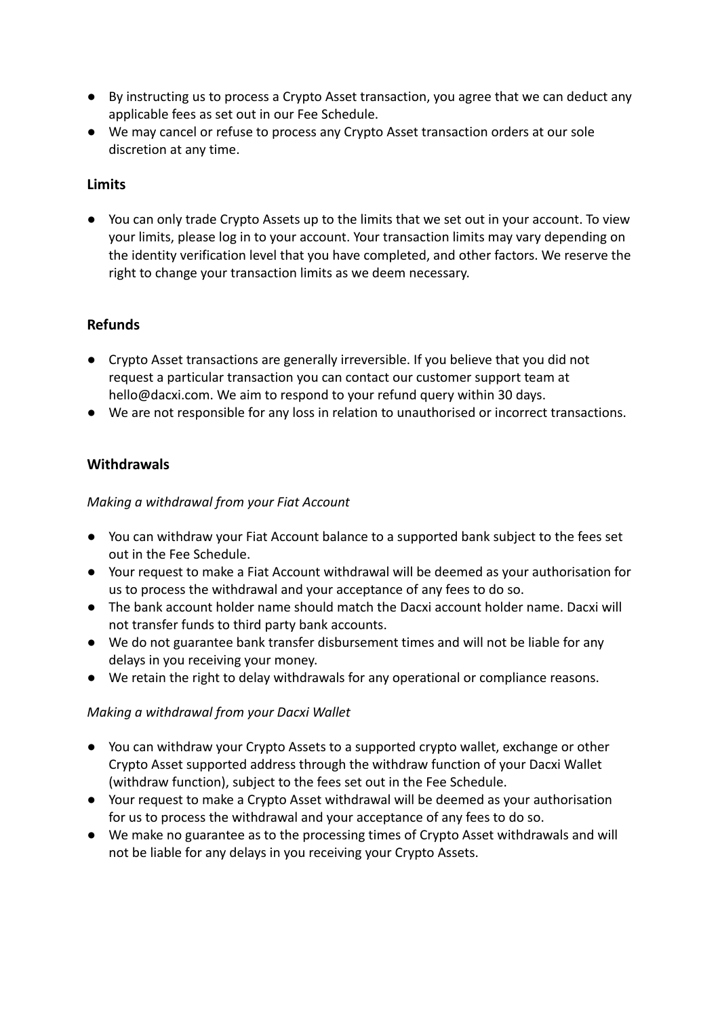- By instructing us to process a Crypto Asset transaction, you agree that we can deduct any applicable fees as set out in our Fee Schedule.
- We may cancel or refuse to process any Crypto Asset transaction orders at our sole discretion at any time.

## **Limits**

● You can only trade Crypto Assets up to the limits that we set out in your account. To view your limits, please log in to your account. Your transaction limits may vary depending on the identity verification level that you have completed, and other factors. We reserve the right to change your transaction limits as we deem necessary.

## **Refunds**

- Crypto Asset transactions are generally irreversible. If you believe that you did not request a particular transaction you can contact our customer support team at hello@dacxi.com. We aim to respond to your refund query within 30 days.
- We are not responsible for any loss in relation to unauthorised or incorrect transactions.

#### **Withdrawals**

#### *Making a withdrawal from your Fiat Account*

- You can withdraw your Fiat Account balance to a supported bank subject to the fees set out in the Fee Schedule.
- Your request to make a Fiat Account withdrawal will be deemed as your authorisation for us to process the withdrawal and your acceptance of any fees to do so.
- The bank account holder name should match the Dacxi account holder name. Dacxi will not transfer funds to third party bank accounts.
- We do not guarantee bank transfer disbursement times and will not be liable for any delays in you receiving your money.
- We retain the right to delay withdrawals for any operational or compliance reasons.

#### *Making a withdrawal from your Dacxi Wallet*

- You can withdraw your Crypto Assets to a supported crypto wallet, exchange or other Crypto Asset supported address through the withdraw function of your Dacxi Wallet (withdraw function), subject to the fees set out in the Fee Schedule.
- Your request to make a Crypto Asset withdrawal will be deemed as your authorisation for us to process the withdrawal and your acceptance of any fees to do so.
- We make no guarantee as to the processing times of Crypto Asset withdrawals and will not be liable for any delays in you receiving your Crypto Assets.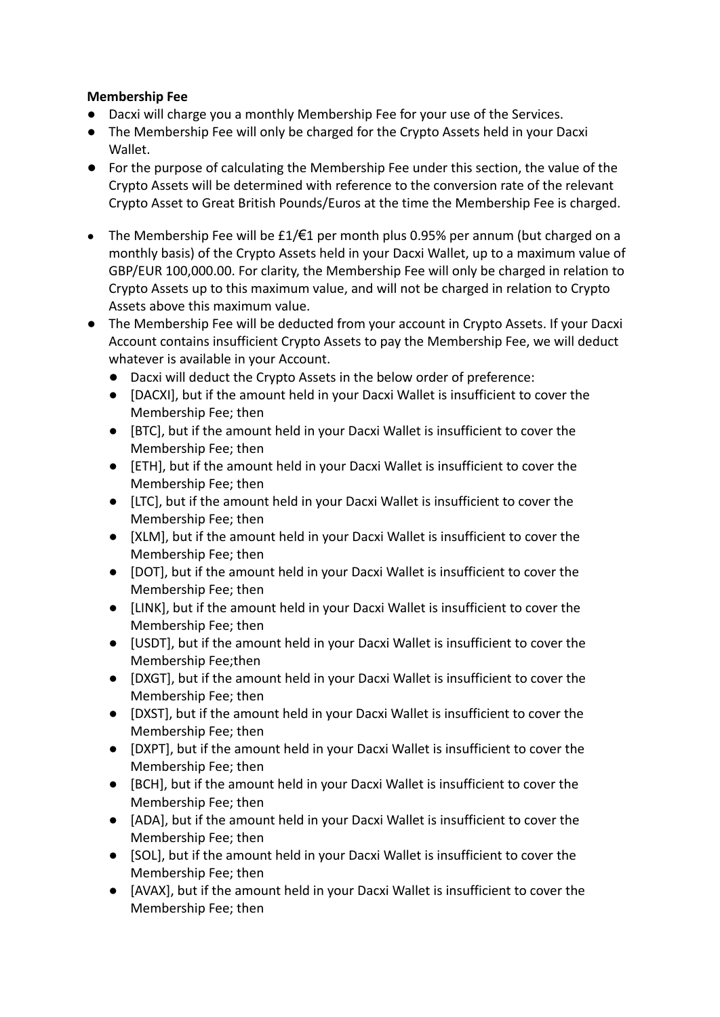## **Membership Fee**

- Dacxi will charge you a monthly Membership Fee for your use of the Services.
- The Membership Fee will only be charged for the Crypto Assets held in your Dacxi Wallet.
- For the purpose of calculating the Membership Fee under this section, the value of the Crypto Assets will be determined with reference to the conversion rate of the relevant Crypto Asset to Great British Pounds/Euros at the time the Membership Fee is charged.
- The Membership Fee will be  $£1/€1$  per month plus 0.95% per annum (but charged on a monthly basis) of the Crypto Assets held in your Dacxi Wallet, up to a maximum value of GBP/EUR 100,000.00. For clarity, the Membership Fee will only be charged in relation to Crypto Assets up to this maximum value, and will not be charged in relation to Crypto Assets above this maximum value.
- The Membership Fee will be deducted from your account in Crypto Assets. If your Dacxi Account contains insufficient Crypto Assets to pay the Membership Fee, we will deduct whatever is available in your Account.
	- Dacxi will deduct the Crypto Assets in the below order of preference:
	- [DACXI], but if the amount held in your Dacxi Wallet is insufficient to cover the Membership Fee; then
	- [BTC], but if the amount held in your Dacxi Wallet is insufficient to cover the Membership Fee; then
	- [ETH], but if the amount held in your Dacxi Wallet is insufficient to cover the Membership Fee; then
	- [LTC], but if the amount held in your Dacxi Wallet is insufficient to cover the Membership Fee; then
	- [XLM], but if the amount held in your Dacxi Wallet is insufficient to cover the Membership Fee; then
	- [DOT], but if the amount held in your Dacxi Wallet is insufficient to cover the Membership Fee; then
	- [LINK], but if the amount held in your Dacxi Wallet is insufficient to cover the Membership Fee; then
	- [USDT], but if the amount held in your Dacxi Wallet is insufficient to cover the Membership Fee;then
	- [DXGT], but if the amount held in your Dacxi Wallet is insufficient to cover the Membership Fee; then
	- [DXST], but if the amount held in your Dacxi Wallet is insufficient to cover the Membership Fee; then
	- [DXPT], but if the amount held in your Dacxi Wallet is insufficient to cover the Membership Fee; then
	- [BCH], but if the amount held in your Dacxi Wallet is insufficient to cover the Membership Fee; then
	- [ADA], but if the amount held in your Dacxi Wallet is insufficient to cover the Membership Fee; then
	- [SOL], but if the amount held in your Dacxi Wallet is insufficient to cover the Membership Fee; then
	- [AVAX], but if the amount held in your Dacxi Wallet is insufficient to cover the Membership Fee; then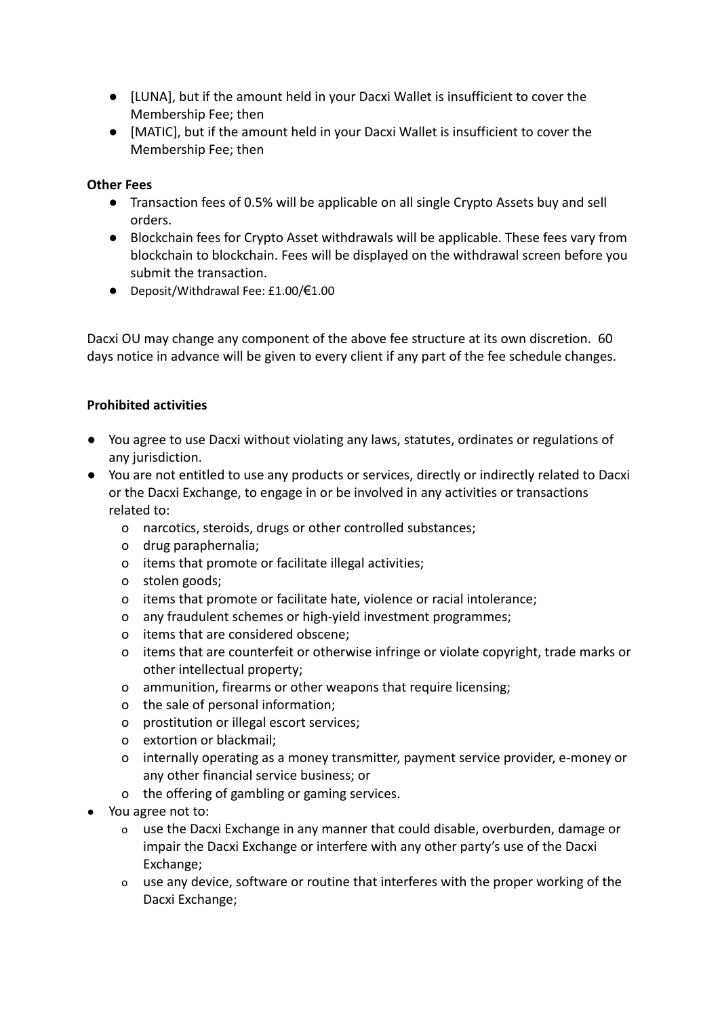- [LUNA], but if the amount held in your Dacxi Wallet is insufficient to cover the Membership Fee; then
- [MATIC], but if the amount held in your Dacxi Wallet is insufficient to cover the Membership Fee; then

#### **Other Fees**

- Transaction fees of 0.5% will be applicable on all single Crypto Assets buy and sell orders.
- Blockchain fees for Crypto Asset withdrawals will be applicable. These fees vary from blockchain to blockchain. Fees will be displayed on the withdrawal screen before you submit the transaction.
- Deposit/Withdrawal Fee: £1.00/€1.00

Dacxi OU may change any component of the above fee structure at its own discretion. 60 days notice in advance will be given to every client if any part of the fee schedule changes.

#### **Prohibited activities**

- You agree to use Dacxi without violating any laws, statutes, ordinates or regulations of any jurisdiction.
- You are not entitled to use any products or services, directly or indirectly related to Dacxi or the Dacxi Exchange, to engage in or be involved in any activities or transactions related to:
	- o narcotics, steroids, drugs or other controlled substances;
	- o drug paraphernalia;
	- o items that promote or facilitate illegal activities;
	- o stolen goods;
	- o items that promote or facilitate hate, violence or racial intolerance;
	- o any fraudulent schemes or high-yield investment programmes;
	- o items that are considered obscene;
	- o items that are counterfeit or otherwise infringe or violate copyright, trade marks or other intellectual property;
	- o ammunition, firearms or other weapons that require licensing;
	- o the sale of personal information;
	- o prostitution or illegal escort services;
	- o extortion or blackmail;
	- o internally operating as a money transmitter, payment service provider, e-money or any other financial service business; or
	- o the offering of gambling or gaming services.
- You agree not to:
	- o use the Dacxi Exchange in any manner that could disable, overburden, damage or impair the Dacxi Exchange or interfere with any other party's use of the Dacxi Exchange;
	- o use any device, software or routine that interferes with the proper working of the Dacxi Exchange;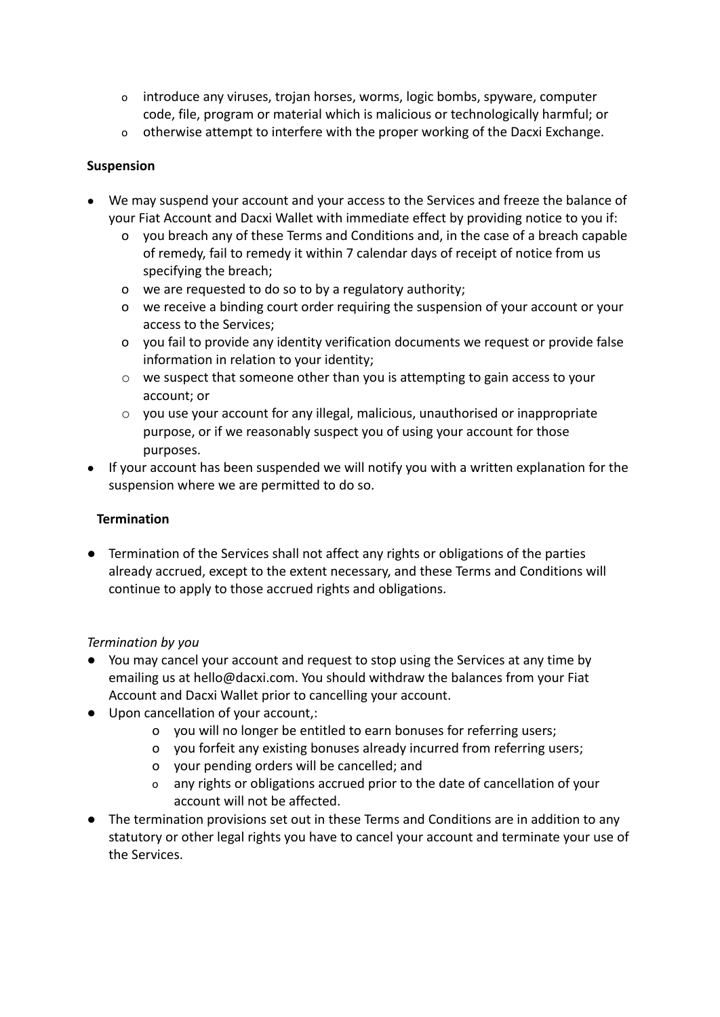- o introduce any viruses, trojan horses, worms, logic bombs, spyware, computer code, file, program or material which is malicious or technologically harmful; or
- o otherwise attempt to interfere with the proper working of the Dacxi Exchange.

## **Suspension**

- We may suspend your account and your access to the Services and freeze the balance of your Fiat Account and Dacxi Wallet with immediate effect by providing notice to you if:
	- o you breach any of these Terms and Conditions and, in the case of a breach capable of remedy, fail to remedy it within 7 calendar days of receipt of notice from us specifying the breach;
	- o we are requested to do so to by a regulatory authority;
	- o we receive a binding court order requiring the suspension of your account or your access to the Services;
	- o you fail to provide any identity verification documents we request or provide false information in relation to your identity;
	- o we suspect that someone other than you is attempting to gain access to your account; or
	- $\circ$  you use your account for any illegal, malicious, unauthorised or inappropriate purpose, or if we reasonably suspect you of using your account for those purposes.
- If your account has been suspended we will notify you with a written explanation for the suspension where we are permitted to do so.

#### **Termination**

● Termination of the Services shall not affect any rights or obligations of the parties already accrued, except to the extent necessary, and these Terms and Conditions will continue to apply to those accrued rights and obligations.

#### *Termination by you*

- You may cancel your account and request to stop using the Services at any time by emailing us at hello@dacxi.com. You should withdraw the balances from your Fiat Account and Dacxi Wallet prior to cancelling your account.
- Upon cancellation of your account,:
	- o you will no longer be entitled to earn bonuses for referring users;
	- o you forfeit any existing bonuses already incurred from referring users;
	- o your pending orders will be cancelled; and
	- o any rights or obligations accrued prior to the date of cancellation of your account will not be affected.
- *●* The termination provisions set out in these Terms and Conditions are in addition to any statutory or other legal rights you have to cancel your account and terminate your use of the Services.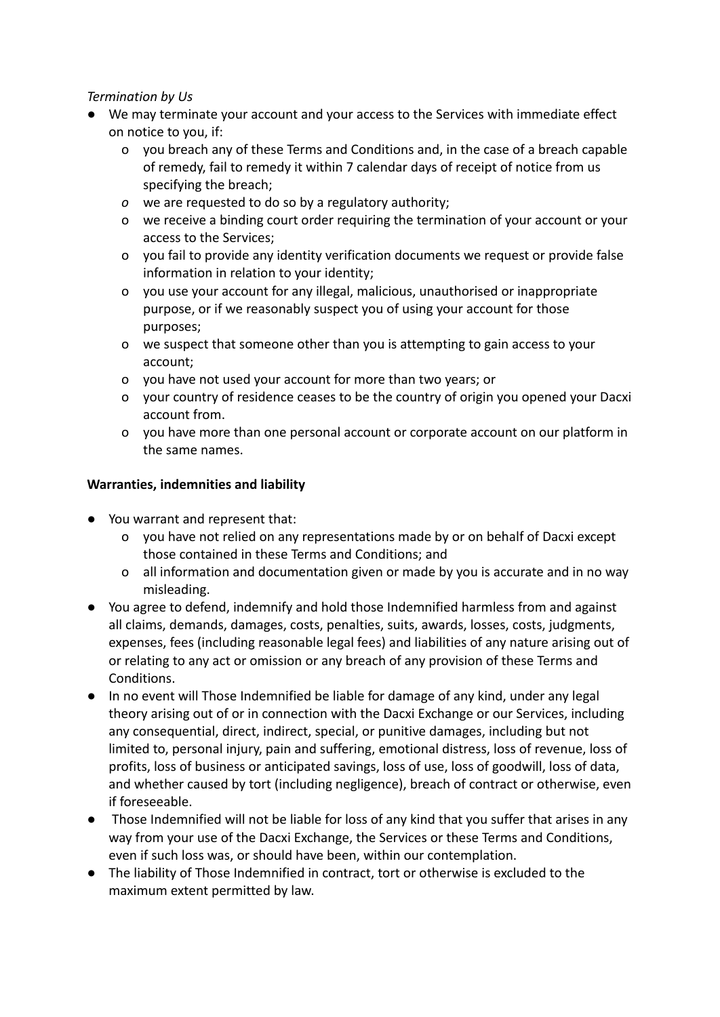## *Termination by Us*

- We may terminate your account and your access to the Services with immediate effect on notice to you, if:
	- o you breach any of these Terms and Conditions and, in the case of a breach capable of remedy, fail to remedy it within 7 calendar days of receipt of notice from us specifying the breach;
	- *o* we are requested to do so by a regulatory authority;
	- o we receive a binding court order requiring the termination of your account or your access to the Services;
	- o you fail to provide any identity verification documents we request or provide false information in relation to your identity;
	- o you use your account for any illegal, malicious, unauthorised or inappropriate purpose, or if we reasonably suspect you of using your account for those purposes;
	- o we suspect that someone other than you is attempting to gain access to your account;
	- o you have not used your account for more than two years; or
	- o your country of residence ceases to be the country of origin you opened your Dacxi account from.
	- o you have more than one personal account or corporate account on our platform in the same names.

## **Warranties, indemnities and liability**

- You warrant and represent that:
	- o you have not relied on any representations made by or on behalf of Dacxi except those contained in these Terms and Conditions; and
	- o all information and documentation given or made by you is accurate and in no way misleading.
- You agree to defend, indemnify and hold those Indemnified harmless from and against all claims, demands, damages, costs, penalties, suits, awards, losses, costs, judgments, expenses, fees (including reasonable legal fees) and liabilities of any nature arising out of or relating to any act or omission or any breach of any provision of these Terms and Conditions.
- In no event will Those Indemnified be liable for damage of any kind, under any legal theory arising out of or in connection with the Dacxi Exchange or our Services, including any consequential, direct, indirect, special, or punitive damages, including but not limited to, personal injury, pain and suffering, emotional distress, loss of revenue, loss of profits, loss of business or anticipated savings, loss of use, loss of goodwill, loss of data, and whether caused by tort (including negligence), breach of contract or otherwise, even if foreseeable.
- Those Indemnified will not be liable for loss of any kind that you suffer that arises in any way from your use of the Dacxi Exchange, the Services or these Terms and Conditions, even if such loss was, or should have been, within our contemplation.
- The liability of Those Indemnified in contract, tort or otherwise is excluded to the maximum extent permitted by law.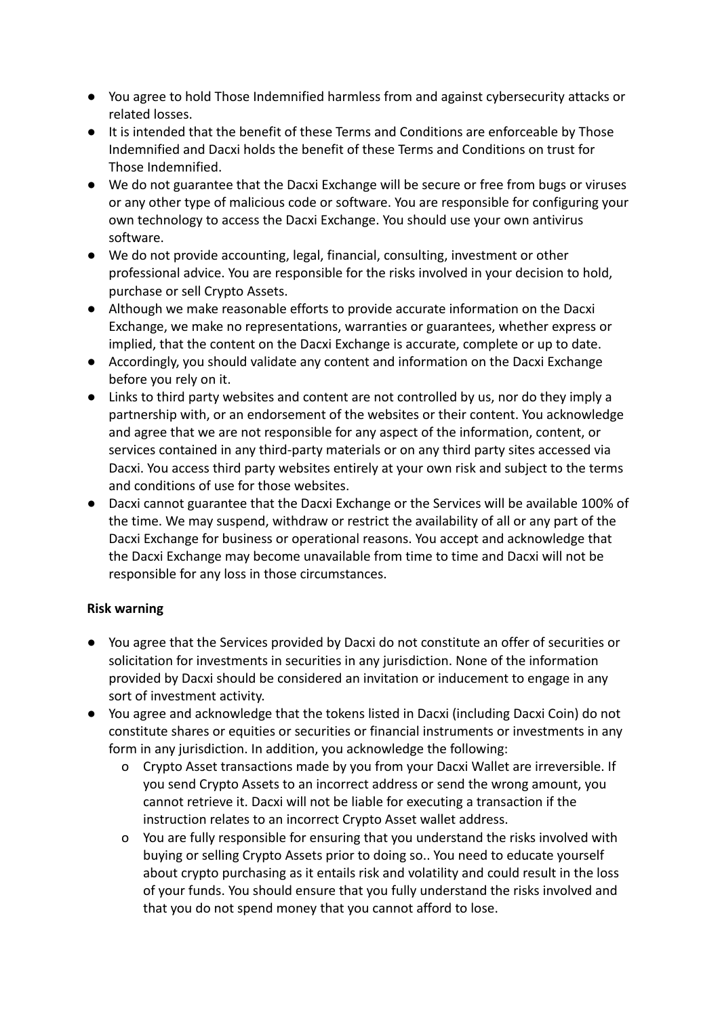- You agree to hold Those Indemnified harmless from and against cybersecurity attacks or related losses.
- It is intended that the benefit of these Terms and Conditions are enforceable by Those Indemnified and Dacxi holds the benefit of these Terms and Conditions on trust for Those Indemnified.
- We do not guarantee that the Dacxi Exchange will be secure or free from bugs or viruses or any other type of malicious code or software. You are responsible for configuring your own technology to access the Dacxi Exchange. You should use your own antivirus software.
- We do not provide accounting, legal, financial, consulting, investment or other professional advice. You are responsible for the risks involved in your decision to hold, purchase or sell Crypto Assets.
- Although we make reasonable efforts to provide accurate information on the Dacxi Exchange, we make no representations, warranties or guarantees, whether express or implied, that the content on the Dacxi Exchange is accurate, complete or up to date.
- Accordingly, you should validate any content and information on the Dacxi Exchange before you rely on it.
- Links to third party websites and content are not controlled by us, nor do they imply a partnership with, or an endorsement of the websites or their content. You acknowledge and agree that we are not responsible for any aspect of the information, content, or services contained in any third-party materials or on any third party sites accessed via Dacxi. You access third party websites entirely at your own risk and subject to the terms and conditions of use for those websites.
- Dacxi cannot guarantee that the Dacxi Exchange or the Services will be available 100% of the time. We may suspend, withdraw or restrict the availability of all or any part of the Dacxi Exchange for business or operational reasons. You accept and acknowledge that the Dacxi Exchange may become unavailable from time to time and Dacxi will not be responsible for any loss in those circumstances.

#### **Risk warning**

- You agree that the Services provided by Dacxi do not constitute an offer of securities or solicitation for investments in securities in any jurisdiction. None of the information provided by Dacxi should be considered an invitation or inducement to engage in any sort of investment activity.
- You agree and acknowledge that the tokens listed in Dacxi (including Dacxi Coin) do not constitute shares or equities or securities or financial instruments or investments in any form in any jurisdiction. In addition, you acknowledge the following:
	- o Crypto Asset transactions made by you from your Dacxi Wallet are irreversible. If you send Crypto Assets to an incorrect address or send the wrong amount, you cannot retrieve it. Dacxi will not be liable for executing a transaction if the instruction relates to an incorrect Crypto Asset wallet address.
	- o You are fully responsible for ensuring that you understand the risks involved with buying or selling Crypto Assets prior to doing so.. You need to educate yourself about crypto purchasing as it entails risk and volatility and could result in the loss of your funds. You should ensure that you fully understand the risks involved and that you do not spend money that you cannot afford to lose.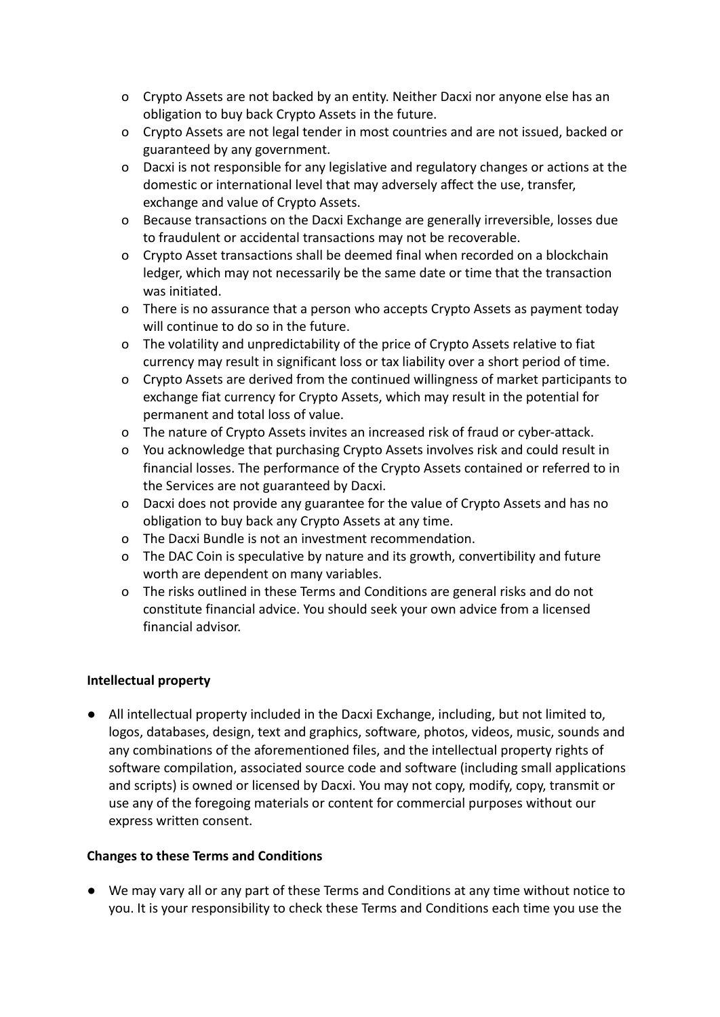- o Crypto Assets are not backed by an entity. Neither Dacxi nor anyone else has an obligation to buy back Crypto Assets in the future.
- o Crypto Assets are not legal tender in most countries and are not issued, backed or guaranteed by any government.
- o Dacxi is not responsible for any legislative and regulatory changes or actions at the domestic or international level that may adversely affect the use, transfer, exchange and value of Crypto Assets.
- o Because transactions on the Dacxi Exchange are generally irreversible, losses due to fraudulent or accidental transactions may not be recoverable.
- o Crypto Asset transactions shall be deemed final when recorded on a blockchain ledger, which may not necessarily be the same date or time that the transaction was initiated.
- o There is no assurance that a person who accepts Crypto Assets as payment today will continue to do so in the future.
- o The volatility and unpredictability of the price of Crypto Assets relative to fiat currency may result in significant loss or tax liability over a short period of time.
- o Crypto Assets are derived from the continued willingness of market participants to exchange fiat currency for Crypto Assets, which may result in the potential for permanent and total loss of value.
- o The nature of Crypto Assets invites an increased risk of fraud or cyber-attack.
- o You acknowledge that purchasing Crypto Assets involves risk and could result in financial losses. The performance of the Crypto Assets contained or referred to in the Services are not guaranteed by Dacxi.
- o Dacxi does not provide any guarantee for the value of Crypto Assets and has no obligation to buy back any Crypto Assets at any time.
- o The Dacxi Bundle is not an investment recommendation.
- o The DAC Coin is speculative by nature and its growth, convertibility and future worth are dependent on many variables.
- o The risks outlined in these Terms and Conditions are general risks and do not constitute financial advice. You should seek your own advice from a licensed financial advisor.

#### **Intellectual property**

● All intellectual property included in the Dacxi Exchange, including, but not limited to, logos, databases, design, text and graphics, software, photos, videos, music, sounds and any combinations of the aforementioned files, and the intellectual property rights of software compilation, associated source code and software (including small applications and scripts) is owned or licensed by Dacxi. You may not copy, modify, copy, transmit or use any of the foregoing materials or content for commercial purposes without our express written consent.

#### **Changes to these Terms and Conditions**

● We may vary all or any part of these Terms and Conditions at any time without notice to you. It is your responsibility to check these Terms and Conditions each time you use the